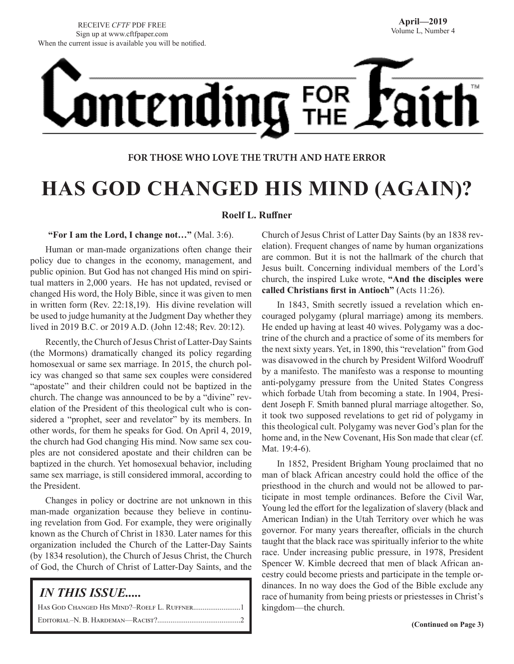# **ontending** FOR

# **FOR THOSE WHO LOVE THE TRUTH AND HATE ERROR**

# **HAS GOD CHANGED HIS MIND (AGAIN)?**

# **Roelf L. Ruffner**

# **"For I am the Lord, I change not…"** (Mal. 3:6).

Human or man-made organizations often change their policy due to changes in the economy, management, and public opinion. But God has not changed His mind on spiritual matters in 2,000 years. He has not updated, revised or changed His word, the Holy Bible, since it was given to men in written form (Rev. 22:18,19). His divine revelation will be used to judge humanity at the Judgment Day whether they lived in 2019 B.C. or 2019 A.D. (John 12:48; Rev. 20:12).

Recently, the Church of Jesus Christ of Latter-Day Saints (the Mormons) dramatically changed its policy regarding homosexual or same sex marriage. In 2015, the church policy was changed so that same sex couples were considered "apostate" and their children could not be baptized in the church. The change was announced to be by a "divine" revelation of the President of this theological cult who is considered a "prophet, seer and revelator" by its members. In other words, for them he speaks for God. On April 4, 2019, the church had God changing His mind. Now same sex couples are not considered apostate and their children can be baptized in the church. Yet homosexual behavior, including same sex marriage, is still considered immoral, according to the President.

Changes in policy or doctrine are not unknown in this man-made organization because they believe in continuing revelation from God. For example, they were originally known as the Church of Christ in 1830. Later names for this organization included the Church of the Latter-Day Saints (by 1834 resolution), the Church of Jesus Christ, the Church of God, the Church of Christ of Latter-Day Saints, and the

| <i>IN THIS ISSUE</i> |
|----------------------|
|                      |
|                      |

Church of Jesus Christ of Latter Day Saints (by an 1838 revelation). Frequent changes of name by human organizations are common. But it is not the hallmark of the church that Jesus built. Concerning individual members of the Lord's church, the inspired Luke wrote, **"And the disciples were called Christians first in Antioch"** (Acts 11:26).

In 1843, Smith secretly issued a revelation which encouraged polygamy (plural marriage) among its members. He ended up having at least 40 wives. Polygamy was a doctrine of the church and a practice of some of its members for the next sixty years. Yet, in 1890, this "revelation" from God was disavowed in the church by President Wilford Woodruff by a manifesto. The manifesto was a response to mounting anti-polygamy pressure from the United States Congress which forbade Utah from becoming a state. In 1904, President Joseph F. Smith banned plural marriage altogether. So, it took two supposed revelations to get rid of polygamy in this theological cult. Polygamy was never God's plan for the home and, in the New Covenant, His Son made that clear (cf. Mat. 19:4-6).

In 1852, President Brigham Young proclaimed that no man of black African ancestry could hold the office of the priesthood in the church and would not be allowed to participate in most temple ordinances. Before the Civil War, Young led the effort for the legalization of slavery (black and American Indian) in the Utah Territory over which he was governor. For many years thereafter, officials in the church taught that the black race was spiritually inferior to the white race. Under increasing public pressure, in 1978, President Spencer W. Kimble decreed that men of black African ancestry could become priests and participate in the temple ordinances. In no way does the God of the Bible exclude any race of humanity from being priests or priestesses in Christ's kingdom—the church.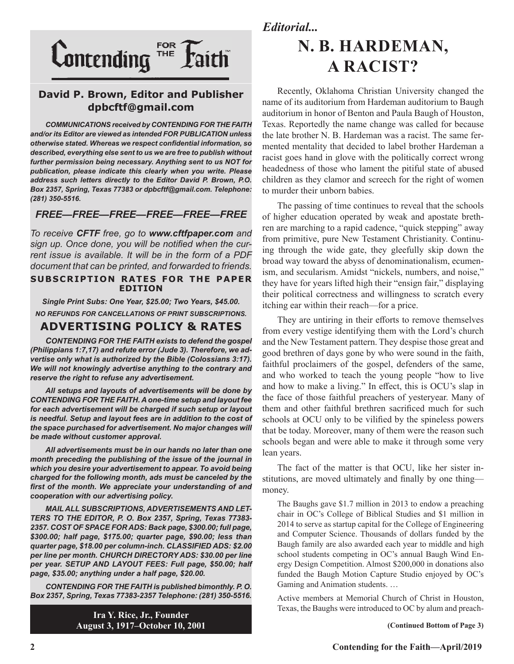

# **David P. Brown, Editor and Publisher dpbcftf@gmail.com**

*COMMUNICATIONS received by CONTENDING FOR THE FAITH and/or its Editor are viewed as intended FOR PUBLICATION unless otherwise stated. Whereas we respect confidential information, so described, everything else sent to us we are free to publish without further permission being necessary. Anything sent to us NOT for publication, please indicate this clearly when you write. Please address such letters directly to the Editor David P. Brown, P.O. Box 2357, Spring, Texas 77383 or dpbcftf@gmail.com. Telephone: (281) 350-5516.*

# *FREE—FREE—FREE—FREE—FREE—FREE*

*To receive CFTF free, go to www.cftfpaper.com and sign up. Once done, you will be notified when the current issue is available. It will be in the form of a PDF document that can be printed, and forwarded to friends.*

## **SUBSCRIPTION RATES FOR THE PAPER EDITION**

*Single Print Subs: One Year, \$25.00; Two Years, \$45.00. NO REFUNDS FOR CANCELLATIONS OF PRINT SUBSCRIPTIONS.*

# **ADVERTISING POLICY & RATES**

*CONTENDING FOR THE FAITH exists to defend the gospel (Philippians 1:7,17) and refute error (Jude 3). Therefore, we advertise only what is authorized by the Bible (Colossians 3:17). We will not knowingly advertise anything to the contrary and reserve the right to refuse any advertisement.*

*All setups and layouts of advertisements will be done by CONTENDING FOR THE FAITH. A one-time setup and layout fee for each advertisement will be charged if such setup or layout*  is needful. Setup and layout fees are in addition to the cost of *the space purchased for advertisement. No major changes will be made without customer approval.*

*All advertisements must be in our hands no later than one month preceding the publishing of the issue of the journal in which you desire your advertisement to appear. To avoid being charged for the following month, ads must be canceled by the first of the month. We appreciate your understanding of and cooperation with our advertising policy.*

*MAIL ALL SUBSCRIPTIONS, ADVERTISEMENTS AND LET-TERS TO THE EDITOR, P. O. Box 2357, Spring, Texas 77383- 2357. COST OF SPACE FOR ADS: Back page, \$300.00; full page, \$300.00; half page, \$175.00; quarter page, \$90.00; less than quarter page, \$18.00 per column-inch. CLASSIFIED ADS: \$2.00 per line per month. CHURCH DIRECTORY ADS: \$30.00 per line per year. SETUP AND LAYOUT FEES: Full page, \$50.00; half page, \$35.00; anything under a half page, \$20.00.*

*CONTENDING FOR THE FAITH is published bimonthly. P. O. Box 2357, Spring, Texas 77383-2357 Telephone: (281) 350-5516.*

> **Ira Y. Rice, Jr., Founder August 3, 1917–October 10, 2001**

*Editorial...*

# **N. B. HARDEMAN, A RACIST?**

Recently, Oklahoma Christian University changed the name of its auditorium from Hardeman auditorium to Baugh auditorium in honor of Benton and Paula Baugh of Houston, Texas. Reportedly the name change was called for because the late brother N. B. Hardeman was a racist. The same fermented mentality that decided to label brother Hardeman a racist goes hand in glove with the politically correct wrong headedness of those who lament the pitiful state of abused children as they clamor and screech for the right of women to murder their unborn babies.

The passing of time continues to reveal that the schools of higher education operated by weak and apostate brethren are marching to a rapid cadence, "quick stepping" away from primitive, pure New Testament Christianity. Continuing through the wide gate, they gleefully skip down the broad way toward the abyss of denominationalism, ecumenism, and secularism. Amidst "nickels, numbers, and noise," they have for years lifted high their "ensign fair," displaying their political correctness and willingness to scratch every itching ear within their reach—for a price.

They are untiring in their efforts to remove themselves from every vestige identifying them with the Lord's church and the New Testament pattern. They despise those great and good brethren of days gone by who were sound in the faith, faithful proclaimers of the gospel, defenders of the same, and who worked to teach the young people "how to live and how to make a living." In effect, this is OCU's slap in the face of those faithful preachers of yesteryear. Many of them and other faithful brethren sacrificed much for such schools at OCU only to be vilified by the spineless powers that be today. Moreover, many of them were the reason such schools began and were able to make it through some very lean years.

The fact of the matter is that OCU, like her sister institutions, are moved ultimately and finally by one thing money.

The Baughs gave \$1.7 million in 2013 to endow a preaching chair in OC's College of Biblical Studies and \$1 million in 2014 to serve as startup capital for the College of Engineering and Computer Science. Thousands of dollars funded by the Baugh family are also awarded each year to middle and high school students competing in OC's annual Baugh Wind Energy Design Competition. Almost \$200,000 in donations also funded the Baugh Motion Capture Studio enjoyed by OC's Gaming and Animation students. …

Active members at Memorial Church of Christ in Houston, Texas, the Baughs were introduced to OC by alum and preach-

 **(Continued Bottom of Page 3)**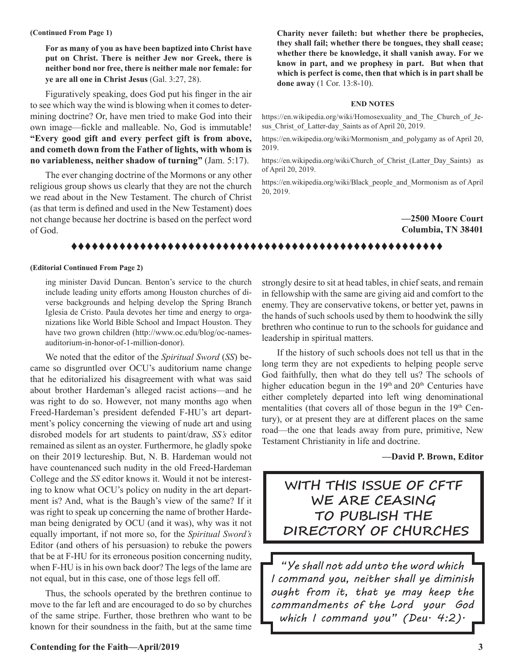### **(Continued From Page 1)**

**For as many of you as have been baptized into Christ have put on Christ. There is neither Jew nor Greek, there is neither bond nor free, there is neither male nor female: for ye are all one in Christ Jesus** (Gal. 3:27, 28).

Figuratively speaking, does God put his finger in the air to see which way the wind is blowing when it comes to determining doctrine? Or, have men tried to make God into their own image—fickle and malleable. No, God is immutable! **"Every good gift and every perfect gift is from above, and cometh down from the Father of lights, with whom is no variableness, neither shadow of turning"** (Jam. 5:17).

The ever changing doctrine of the Mormons or any other religious group shows us clearly that they are not the church we read about in the New Testament. The church of Christ (as that term is defined and used in the New Testament) does not change because her doctrine is based on the perfect word of God.

**Charity never faileth: but whether there be prophecies, they shall fail; whether there be tongues, they shall cease; whether there be knowledge, it shall vanish away. For we know in part, and we prophesy in part. But when that which is perfect is come, then that which is in part shall be done away** (1 Cor. 13:8-10).

### **END NOTES**

https://en.wikipedia.org/wiki/Homosexuality\_and\_The\_Church\_of\_Jesus Christ of Latter-day Saints as of April 20, 2019.

https://en.wikipedia.org/wiki/Mormonism\_and\_polygamy as of April 20, 2019.

https://en.wikipedia.org/wiki/Church\_of\_Christ\_(Latter\_Day\_Saints) as of April 20, 2019.

https://en.wikipedia.org/wiki/Black\_people\_and\_Mormonism as of April 20, 2019.

> **—2500 Moore Court Columbia, TN 38401**

# tttttttttttttttttttttttttttttttttttttttttttttttttttttt

### **(Editorial Continued From Page 2)**

ing minister David Duncan. Benton's service to the church include leading unity efforts among Houston churches of diverse backgrounds and helping develop the Spring Branch Iglesia de Cristo. Paula devotes her time and energy to organizations like World Bible School and Impact Houston. They have two grown children (http://www.oc.edu/blog/oc-namesauditorium-in-honor-of-1-million-donor).

We noted that the editor of the *Spiritual Sword* (*SS*) became so disgruntled over OCU's auditorium name change that he editorialized his disagreement with what was said about brother Hardeman's alleged racist actions—and he was right to do so. However, not many months ago when Freed-Hardeman's president defended F-HU's art department's policy concerning the viewing of nude art and using disrobed models for art students to paint/draw, *SS's* editor remained as silent as an oyster. Furthermore, he gladly spoke on their 2019 lectureship. But, N. B. Hardeman would not have countenanced such nudity in the old Freed-Hardeman College and the *SS* editor knows it. Would it not be interesting to know what OCU's policy on nudity in the art department is? And, what is the Baugh's view of the same? If it was right to speak up concerning the name of brother Hardeman being denigrated by OCU (and it was), why was it not equally important, if not more so, for the *Spiritual Sword's* Editor (and others of his persuasion) to rebuke the powers that be at F-HU for its erroneous position concerning nudity, when F-HU is in his own back door? The legs of the lame are not equal, but in this case, one of those legs fell off.

Thus, the schools operated by the brethren continue to move to the far left and are encouraged to do so by churches of the same stripe. Further, those brethren who want to be known for their soundness in the faith, but at the same time strongly desire to sit at head tables, in chief seats, and remain in fellowship with the same are giving aid and comfort to the enemy. They are conservative tokens, or better yet, pawns in the hands of such schools used by them to hoodwink the silly brethren who continue to run to the schools for guidance and leadership in spiritual matters.

If the history of such schools does not tell us that in the long term they are not expedients to helping people serve God faithfully, then what do they tell us? The schools of higher education begun in the  $19<sup>th</sup>$  and  $20<sup>th</sup>$  Centuries have either completely departed into left wing denominational mentalities (that covers all of those begun in the  $19<sup>th</sup>$  Century), or at present they are at different places on the same road—the one that leads away from pure, primitive, New Testament Christianity in life and doctrine.

**—David P. Brown, Editor** 

# **WITH THIS ISSUE OF CFTF WE ARE CEASING TO PUBLISH THE DIRECTORY OF CHURCHES**

*"Ye shall not add unto the word which I command you, neither shall ye diminish ought from it, that ye may keep the commandments of the Lord your God which I command you" (Deu. 4:2).*